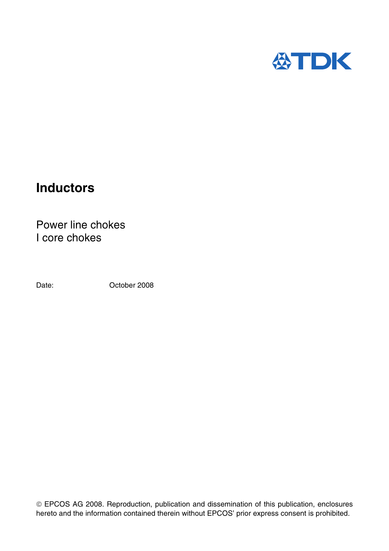

# **Inductors**

Power line chokes I core chokes

Date: **Date:** October 2008

 EPCOS AG 2008. Reproduction, publication and dissemination of this publication, enclosures hereto and the information contained therein without EPCOS' prior express consent is prohibited.